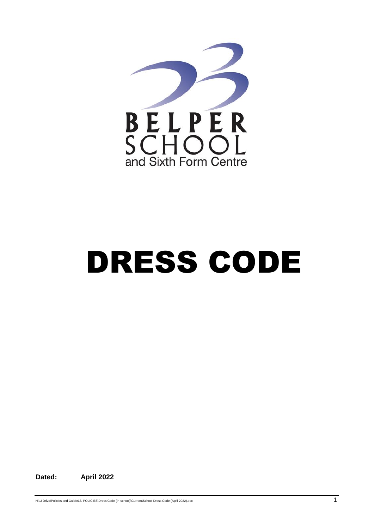

## DRESS CODE

**Dated: April 2022**

H:\U Drive\Policies and Guides\3. POLICIES\Dress Code (in-school)\Current\School Dress Code (April 2022).doc 1